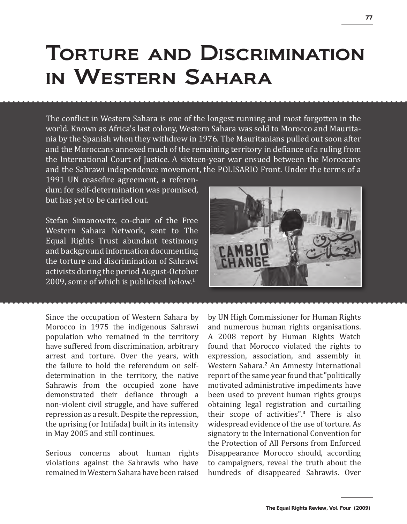# Torture and Discrimination in Western Sahara

The conflict in Western Sahara is one of the longest running and most forgotten in the world. Known as Africa's last colony, Western Sahara was sold to Morocco and Mauritania by the Spanish when they withdrew in 1976. The Mauritanians pulled out soon after and the Moroccans annexed much of the remaining territory in defiance of a ruling from the International Court of Justice. A sixteen-year war ensued between the Moroccans and the Sahrawi independence movement, the POLISARIO Front. Under the terms of a

1991 UN ceasefire agreement, a referendum for self-determination was promised, but has yet to be carried out.

Stefan Simanowitz, co-chair of the Free Western Sahara Network, sent to The Equal Rights Trust abundant testimony and background information documenting the torture and discrimination of Sahrawi activists during the period August-October 2009, some of which is publicised below.**<sup>1</sup>**

Since the occupation of Western Sahara by Morocco in 1975 the indigenous Sahrawi population who remained in the territory have suffered from discrimination, arbitrary arrest and torture. Over the years, with the failure to hold the referendum on selfdetermination in the territory, the native Sahrawis from the occupied zone have demonstrated their defiance through a non-violent civil struggle, and have suffered repression as a result. Despite the repression, the uprising (or Intifada) built in its intensity in May 2005 and still continues.

Serious concerns about human rights violations against the Sahrawis who have remained in Western Sahara have been raised

by UN High Commissioner for Human Rights and numerous human rights organisations. A 2008 report by Human Rights Watch found that Morocco violated the rights to expression, association, and assembly in Western Sahara.**<sup>2</sup>** An Amnesty International report of the same year found that "politically motivated administrative impediments have been used to prevent human rights groups obtaining legal registration and curtailing their scope of activities".**<sup>3</sup>** There is also widespread evidence of the use of torture. As signatory to the International Convention for the Protection of All Persons from Enforced Disappearance Morocco should, according to campaigners, reveal the truth about the hundreds of disappeared Sahrawis. Over

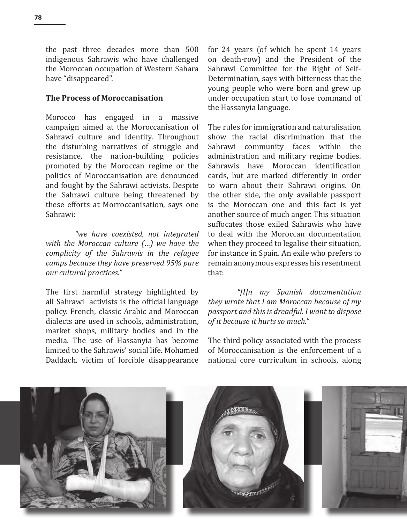the past three decades more than 500 indigenous Sahrawis who have challenged the Moroccan occupation of Western Sahara have "disappeared".

#### **The Process of Moroccanisation**

Morocco has engaged in a massive campaign aimed at the Moroccanisation of Sahrawi culture and identity. Throughout the disturbing narratives of struggle and resistance, the nation-building policies promoted by the Moroccan regime or the politics of Moroccanisation are denounced and fought by the Sahrawi activists. Despite the Sahrawi culture being threatened by these efforts at Morroccanisation, says one Sahrawi:

*"we have coexisted, not integrated with the Moroccan culture (…) we have the complicity of the Sahrawis in the refugee camps because they have preserved 95% pure our cultural practices."*

The first harmful strategy highlighted by all Sahrawi activists is the official language policy. French, classic Arabic and Moroccan dialects are used in schools, administration, market shops, military bodies and in the media. The use of Hassanyia has become limited to the Sahrawis' social life. Mohamed Daddach, victim of forcible disappearance

for 24 years (of which he spent 14 years on death-row) and the President of the Sahrawi Committee for the Right of Self-Determination, says with bitterness that the young people who were born and grew up under occupation start to lose command of the Hassanyia language.

The rules for immigration and naturalisation show the racial discrimination that the Sahrawi community faces within the administration and military regime bodies. Sahrawis have Moroccan identification cards, but are marked differently in order to warn about their Sahrawi origins. On the other side, the only available passport is the Moroccan one and this fact is yet another source of much anger. This situation suffocates those exiled Sahrawis who have to deal with the Moroccan documentation when they proceed to legalise their situation, for instance in Spain. An exile who prefers to remain anonymous expresses his resentment that:

*"[I]n my Spanish documentation they wrote that I am Moroccan because of my passport and this is dreadful. I want to dispose of it because it hurts so much."* 

The third policy associated with the process of Moroccanisation is the enforcement of a national core curriculum in schools, along

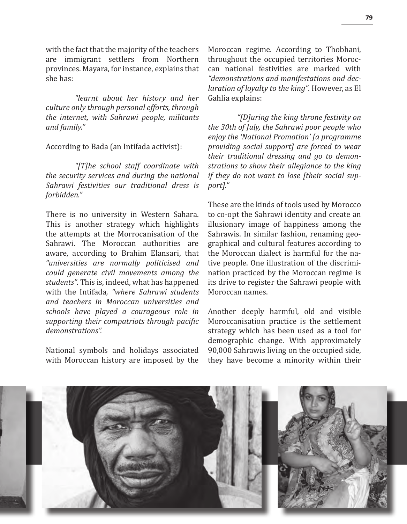with the fact that the majority of the teachers are immigrant settlers from Northern provinces. Mayara, for instance, explains that she has:

*"learnt about her history and her culture only through personal efforts, through the internet, with Sahrawi people, militants and family."*

According to Bada (an Intifada activist):

*"[T]he school staff coordinate with the security services and during the national Sahrawi festivities our traditional dress is forbidden."*

There is no university in Western Sahara. This is another strategy which highlights the attempts at the Morrocanisation of the Sahrawi. The Moroccan authorities are aware, according to Brahim Elansari, that *"universities are normally politicised and could generate civil movements among the students"*. This is, indeed, what has happened with the Intifada*, "where Sahrawi students and teachers in Moroccan universities and schools have played a courageous role in supporting their compatriots through pacific demonstrations".*

National symbols and holidays associated with Moroccan history are imposed by the

Moroccan regime. According to Thobhani, throughout the occupied territories Moroccan national festivities are marked with *"demonstrations and manifestations and declaration of loyalty to the king"*. However, as El Gahlia explains:

*"[D]uring the king throne festivity on the 30th of July, the Sahrawi poor people who enjoy the 'National Promotion' [a programme providing social support] are forced to wear their traditional dressing and go to demonstrations to show their allegiance to the king if they do not want to lose [their social support]."*

These are the kinds of tools used by Morocco to co-opt the Sahrawi identity and create an illusionary image of happiness among the Sahrawis. In similar fashion, renaming geographical and cultural features according to the Moroccan dialect is harmful for the native people. One illustration of the discrimination practiced by the Moroccan regime is its drive to register the Sahrawi people with Moroccan names.

Another deeply harmful, old and visible Moroccanisation practice is the settlement strategy which has been used as a tool for demographic change. With approximately 90,000 Sahrawis living on the occupied side, they have become a minority within their

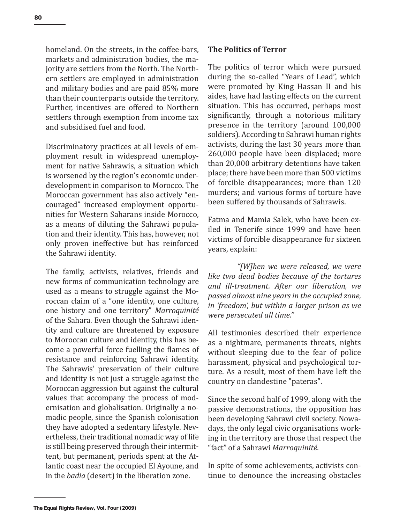homeland. On the streets, in the coffee-bars, markets and administration bodies, the majority are settlers from the North. The Northern settlers are employed in administration and military bodies and are paid 85% more than their counterparts outside the territory. Further, incentives are offered to Northern settlers through exemption from income tax and subsidised fuel and food.

Discriminatory practices at all levels of employment result in widespread unemployment for native Sahrawis, a situation which is worsened by the region's economic underdevelopment in comparison to Morocco. The Moroccan government has also actively "encouraged" increased employment opportunities for Western Saharans inside Morocco, as a means of diluting the Sahrawi population and their identity. This has, however, not only proven ineffective but has reinforced the Sahrawi identity.

The family, activists, relatives, friends and new forms of communication technology are used as a means to struggle against the Moroccan claim of a "one identity, one culture, one history and one territory" *Marroquinité* of the Sahara. Even though the Sahrawi identity and culture are threatened by exposure to Moroccan culture and identity, this has become a powerful force fuelling the flames of resistance and reinforcing Sahrawi identity. The Sahrawis' preservation of their culture and identity is not just a struggle against the Moroccan aggression but against the cultural values that accompany the process of modernisation and globalisation. Originally a nomadic people, since the Spanish colonisation they have adopted a sedentary lifestyle. Nevertheless, their traditional nomadic way of life is still being preserved through their intermittent, but permanent, periods spent at the Atlantic coast near the occupied El Ayoune, and in the *badia* (desert) in the liberation zone.

#### **The Politics of Terror**

The politics of terror which were pursued during the so-called "Years of Lead", which were promoted by King Hassan II and his aides, have had lasting effects on the current situation. This has occurred, perhaps most significantly, through a notorious military presence in the territory (around 100,000 soldiers). According to Sahrawi human rights activists, during the last 30 years more than 260,000 people have been displaced; more than 20,000 arbitrary detentions have taken place; there have been more than 500 victims of forcible disappearances; more than 120 murders; and various forms of torture have been suffered by thousands of Sahrawis.

Fatma and Mamia Salek, who have been exiled in Tenerife since 1999 and have been victims of forcible disappearance for sixteen years, explain:

*"[W]hen we were released, we were like two dead bodies because of the tortures and ill-treatment. After our liberation, we passed almost nine years in the occupied zone, in 'freedom', but within a larger prison as we were persecuted all time."*

All testimonies described their experience as a nightmare, permanents threats, nights without sleeping due to the fear of police harassment, physical and psychological torture. As a result, most of them have left the country on clandestine "pateras".

Since the second half of 1999, along with the passive demonstrations, the opposition has been developing Sahrawi civil society. Nowadays, the only legal civic organisations working in the territory are those that respect the "fact" of a Sahrawi *Marroquinité*.

In spite of some achievements, activists continue to denounce the increasing obstacles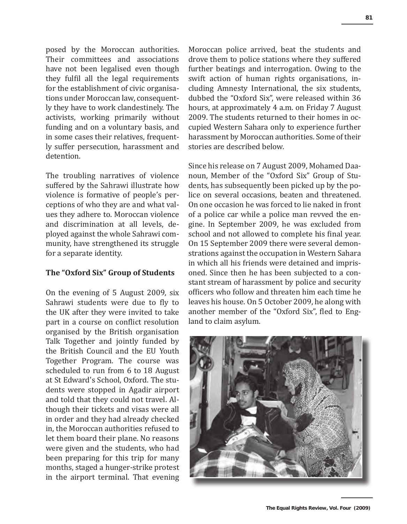posed by the Moroccan authorities. Their committees and associations have not been legalised even though they fulfil all the legal requirements for the establishment of civic organisations under Moroccan law, consequently they have to work clandestinely. The activists, working primarily without funding and on a voluntary basis, and in some cases their relatives, frequently suffer persecution, harassment and detention.

The troubling narratives of violence suffered by the Sahrawi illustrate how violence is formative of people's perceptions of who they are and what values they adhere to. Moroccan violence and discrimination at all levels, deployed against the whole Sahrawi community, have strengthened its struggle for a separate identity.

#### **The "Oxford Six" Group of Students**

On the evening of 5 August 2009, six Sahrawi students were due to fly to the UK after they were invited to take part in a course on conflict resolution organised by the British organisation Talk Together and jointly funded by the British Council and the EU Youth Together Program. The course was scheduled to run from 6 to 18 August at St Edward's School, Oxford. The students were stopped in Agadir airport and told that they could not travel. Although their tickets and visas were all in order and they had already checked in, the Moroccan authorities refused to let them board their plane. No reasons were given and the students, who had been preparing for this trip for many months, staged a hunger-strike protest in the airport terminal. That evening Moroccan police arrived, beat the students and drove them to police stations where they suffered further beatings and interrogation. Owing to the swift action of human rights organisations, including Amnesty International, the six students, dubbed the "Oxford Six", were released within 36 hours, at approximately 4 a.m. on Friday 7 August 2009. The students returned to their homes in occupied Western Sahara only to experience further harassment by Moroccan authorities. Some of their stories are described below.

Since his release on 7 August 2009, Mohamed Daanoun, Member of the "Oxford Six" Group of Students, has subsequently been picked up by the police on several occasions, beaten and threatened. On one occasion he was forced to lie naked in front of a police car while a police man revved the engine. In September 2009, he was excluded from school and not allowed to complete his final year. On 15 September 2009 there were several demonstrations against the occupation in Western Sahara in which all his friends were detained and imprisoned. Since then he has been subjected to a constant stream of harassment by police and security officers who follow and threaten him each time he leaves his house. On 5 October 2009, he along with another member of the "Oxford Six", fled to England to claim asylum.

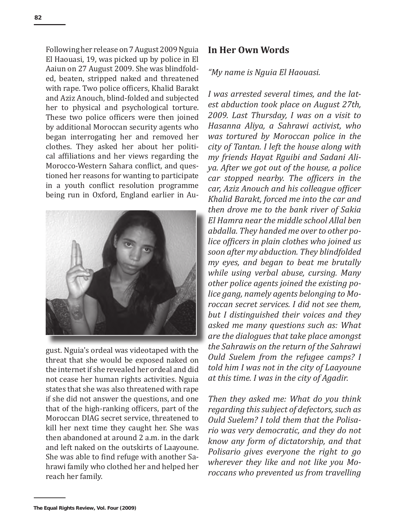Following her release on 7 August 2009 Nguia El Haouasi, 19, was picked up by police in El Aaiun on 27 August 2009. She was blindfolded, beaten, stripped naked and threatened with rape. Two police officers, Khalid Barakt and Aziz Anouch, blind-folded and subjected her to physical and psychological torture. These two police officers were then joined by additional Moroccan security agents who began interrogating her and removed her clothes. They asked her about her political affiliations and her views regarding the Morocco-Western Sahara conflict, and questioned her reasons for wanting to participate in a youth conflict resolution programme being run in Oxford, England earlier in Au-



gust. Nguia's ordeal was videotaped with the threat that she would be exposed naked on the internet if she revealed her ordeal and did not cease her human rights activities. Nguia states that she was also threatened with rape if she did not answer the questions, and one that of the high-ranking officers, part of the Moroccan DIAG secret service, threatened to kill her next time they caught her. She was then abandoned at around 2 a.m. in the dark and left naked on the outskirts of Laayoune. She was able to find refuge with another Sahrawi family who clothed her and helped her reach her family.

## **In Her Own Words**

### *"My name is Nguia El Haouasi.*

*I was arrested several times, and the latest abduction took place on August 27th, 2009. Last Thursday, I was on a visit to Hasanna Aliya, a Sahrawi activist, who was tortured by Moroccan police in the city of Tantan. I left the house along with my friends Hayat Rguibi and Sadani Aliya. After we got out of the house, a police car stopped nearby. The officers in the car, Aziz Anouch and his colleague officer Khalid Barakt, forced me into the car and then drove me to the bank river of Sakia El Hamra near the middle school Allal ben abdalla. They handed me over to other police officers in plain clothes who joined us soon after my abduction. They blindfolded my eyes, and began to beat me brutally while using verbal abuse, cursing. Many other police agents joined the existing police gang, namely agents belonging to Moroccan secret services. I did not see them, but I distinguished their voices and they asked me many questions such as: What are the dialogues that take place amongst the Sahrawis on the return of the Sahrawi Ould Suelem from the refugee camps? I told him I was not in the city of Laayoune at this time. I was in the city of Agadir.* 

*Then they asked me: What do you think regarding this subject of defectors, such as Ould Suelem? I told them that the Polisario was very democratic, and they do not know any form of dictatorship, and that Polisario gives everyone the right to go wherever they like and not like you Moroccans who prevented us from travelling*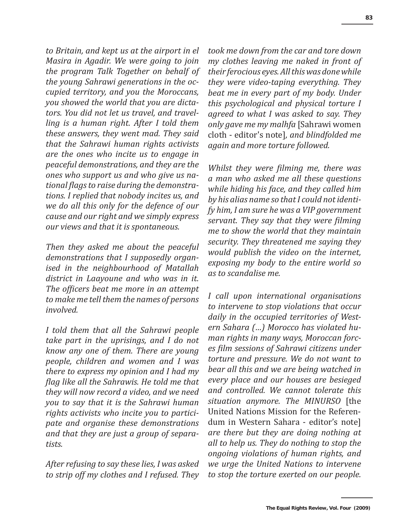*to Britain, and kept us at the airport in el Masira in Agadir. We were going to join the program Talk Together on behalf of the young Sahrawi generations in the occupied territory, and you the Moroccans, you showed the world that you are dictators. You did not let us travel, and travelling is a human right. After I told them these answers, they went mad. They said that the Sahrawi human rights activists are the ones who incite us to engage in peaceful demonstrations, and they are the ones who support us and who give us national flags to raise during the demonstrations. I replied that nobody incites us, and we do all this only for the defence of our cause and our right and we simply express our views and that it is spontaneous.* 

*Then they asked me about the peaceful demonstrations that I supposedly organised in the neighbourhood of Matallah district in Laayoune and who was in it. The officers beat me more in an attempt to make me tell them the names of persons involved.*

*I told them that all the Sahrawi people take part in the uprisings, and I do not know any one of them. There are young people, children and women and I was there to express my opinion and I had my flag like all the Sahrawis. He told me that they will now record a video, and we need you to say that it is the Sahrawi human rights activists who incite you to participate and organise these demonstrations and that they are just a group of separatists.* 

*After refusing to say these lies, I was asked to strip off my clothes and I refused. They*  *took me down from the car and tore down my clothes leaving me naked in front of their ferocious eyes. All this was done while they were video-taping everything. They beat me in every part of my body. Under this psychological and physical torture I agreed to what I was asked to say. They only gave me my malhfa* [Sahrawi women cloth - editor's note]*, and blindfolded me again and more torture followed.* 

*Whilst they were filming me, there was a man who asked me all these questions while hiding his face, and they called him by his alias name so that I could not identify him, I am sure he was a VIP government servant. They say that they were filming me to show the world that they maintain security. They threatened me saying they would publish the video on the internet, exposing my body to the entire world so as to scandalise me.* 

*I call upon international organisations to intervene to stop violations that occur daily in the occupied territories of Western Sahara (…) Morocco has violated human rights in many ways, Moroccan forces film sessions of Sahrawi citizens under torture and pressure. We do not want to bear all this and we are being watched in every place and our houses are besieged and controlled. We cannot tolerate this situation anymore. The MINURSO* [the United Nations Mission for the Referendum in Western Sahara - editor's note] *are there but they are doing nothing at all to help us. They do nothing to stop the ongoing violations of human rights, and we urge the United Nations to intervene to stop the torture exerted on our people.*